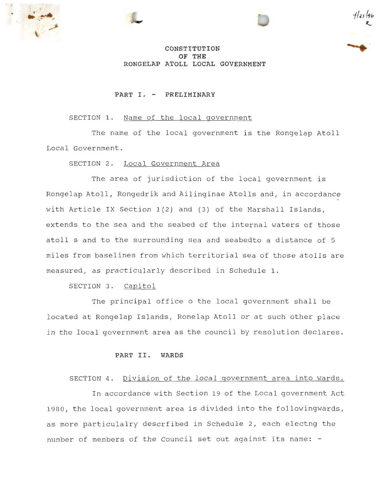





# **CONSTITUTION OF THE RONGELAP ATOLL LOCAL GOVERNMENT**

### **PART I . - PRELIMINARY**

# SECTION 1. Name of the local government

The name of the local government is the Rongelap Atoll Local Government.

SECTION 2. Local Government Area

The area of jurisdiction of the local government is Rongelap Atoll, Rongedrik and Ailinginae Atolls and, in accordance with Article IX Section  $1(2)$  and  $(3)$  of the Marshall Islands, extends to the sea and the seabed of the internal waters of those atoll s and to the surrounding sea and seabedto a distance of 5 miles from baselines from which territorial sea of those atolls are measured, as practicularly described in Schedule 1.

SECTION 3. Capitol

The principal office o the local government shall be located at Rongelap Islands, Ronelap Atoll or at such other place in the local government area as the council by resolution declares.

### **PART II. WARDS**

### SECTION 4. Division of the local government area into wards.

In accordance with Section 19 of the Local government Act 1980, the local government area is divided into the followingwards, as more particulalry descrfibed in Schedule 2, each electng the number of members of the Council set out against its name: -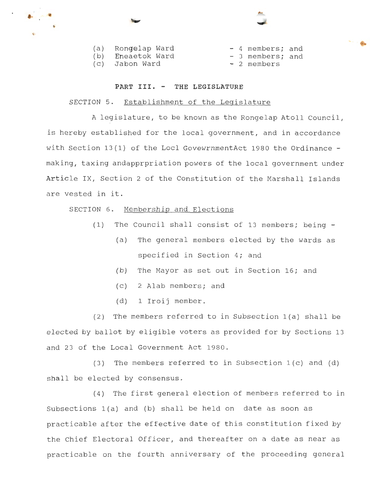| (a) Rongelap Ward |  | - 4 members; and |  |
|-------------------|--|------------------|--|
| (b) Eneaetok Ward |  | - 3 members; and |  |
| (c) Jabon Ward    |  | - 2 members      |  |

•

#### **PART III. - THE LEGISLATURE**

# SECTION 5. Establishment of the Legislature

A legislature, to be known as the Rongelap Atoll Council, is hereby established for the local government, and in accordance with Section 13(1) of the Locl GovewrnmentAct 1980 the Ordinance making, taxing andapprpriation powers of the local government under Article IX, Section 2 of the Constitution of the Marshall Islands are vested in it.

### SECTION 6. Membership and Elections

- (1) The Council shall consist of 13 members; being
	- (a) The general members elected by the wards as specified in Section 4; and
	- (b) The Mayor as set out in Section 16; and
	- (c) 2 Alab members; and
	- (d) 1 Iroij member.

(2) The members referred to in Subsection 1(a) shall be elected by ballot by eligible voters as provided for by Sections 13 and 23 of the Local Government Act 1980.

(3) The members referred to in Subsection 1(c) and (d) shall be elected by consensus.

(4) The first general election of members referred to in Subsections 1(a) and (b) shall be held on date as soon as practicable after the effective date of this constitution fixed by the Chief Electoral Officer, and thereafter on a date as near as practicable on the fourth anniversary of the proceeding general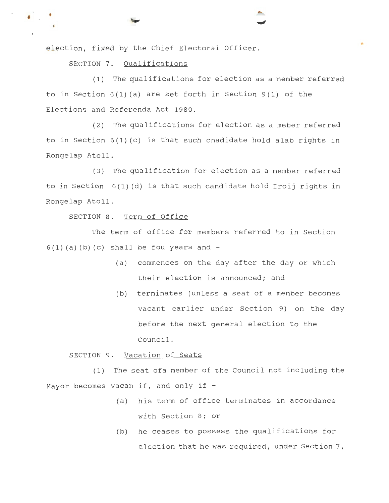election, fixed by the Chief Electoral Officer.

SECTION 7. Qualifications

• •

(1) The qualifications for election as a member referred to in Section  $6(1)(a)$  are set forth in Section 9(1) of the Elections and Referenda Act 1980 .

t

(2) The qualifications for election as a meber referred to in Section 6(1) (c) is that such cnadidate hold alab rights in Rongelap Atoll .

(3) The qualification for election as a member referred to in Section 6(1) (d) is that such candidate hold Iroij rights in Rongelap Atoll.

SECTION 8. Term of Office

The term of office for members referred to in Section  $6(1)$  (a) (b) (c) shall be fou years and  $-$ 

- (a) commences on the day after the day or which their election is announced; and
- (b) terminates (unless a seat of a member becomes vacant earlier under Section 9) on the day before the next general election to the Council.

SECTION 9. Vacation of Seats

(1) The seat ofa member of the Council not including the Mayor becomes vacan if, and only if -

- (a) his term of office terminates in accordance with Section 8; or
- (b) he ceases to possess the qualifications for election that he was required, under Section 7,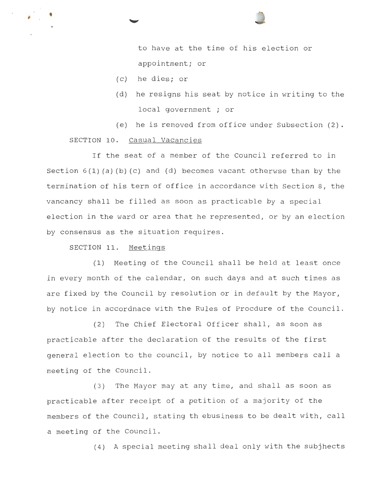to have at the time of his election or appointment; or

- (c) he dies; or
- (d) he resigns his seat by notice in writing to the local government ; or
- (e) he is removed from office under Subsection (2) .

### SECTION 10. Casual Vacancies

•

If the seat of a member of the Council referred to in Section  $6(1)(a)(b)(c)$  and  $(d)$  becomes vacant otherwse than by the termination of his term of office in accordance with Section 8, the vancancy shall be filled as soon as practicable by a special election in the ward or area that he represented, or by an election by consensus as the situation requires.

SECTION 11. Meetings

(1) Meeting of the Council shall be held at least once in every month of the calendar, on such days and at such times as are fixed by the Council by resolution or in default by the Mayor, by notice in accordnace with the Rules of Procdure of the Council.

(2) The Chief Electoral Officer shall, as soon as practicable after the declaration of the results of the first general election to the council, by notice to all members call a meeting of the Council.

(3) The Mayor may at any time, and shall as soon as practicable after receipt of a petition of a majority of the members of the Council, stating th ebusiness to be dealt with, call a meeting of the Council.

(4) A special meeting shall deal only with the subjhects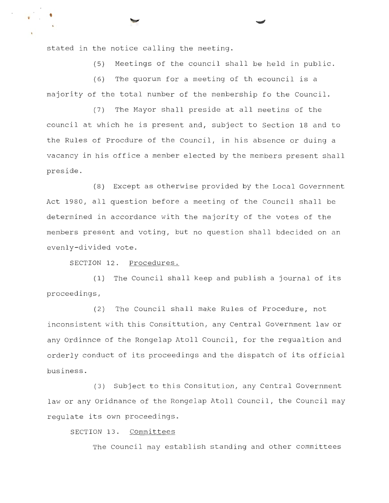stated in the notice calling the meeting.

•

(5) Meetings of the council shall be held in public .

(6) The quorum for a meeting of th ecouncil is a majority of the total number of the membership fo the Council.

(7) The Mayor shall preside at all meetins of the council at which he is present and, subject to Section 18 and to the Rules of Procdure of the Council, in his absence or duing a vacancy in his office a member elected by the members present shall preside.

(8) Except as otherwise provided by the Local Government Act 1980, all question before a meeting of the Council shall be determined in accordance with the majority of the votes of the members present and voting, but no question shall bdecided on an evenly-divided vote.

SECTION 12. Procedures.

(1) The Council shall keep and publish a journal of its proceedings,

(2) The Council shall make Rules of Procedure, not inconsistent with this Consittution, any Central Government law or any Ordinnce of the Rongelap Atoll Council, for the regualtion and orderly conduct of its proceedings and the dispatch of its official business.

(3) Subject to this Consitution, any Central Government law or any oridnance of the Rongelap Atoll Council, the Council may regulate its own proceedings.

SECTION 13. Committees

The Council may establish standing and other committees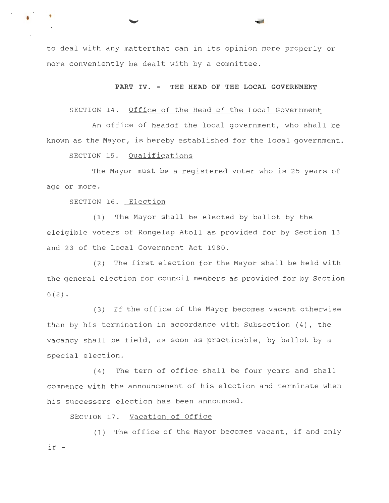to deal with any matterthat can in its opinion more properly or more conveniently be dealt with by a committee.

**PART IV. - THE HEAD OF THE LOCAL GOVERNMENT** 

#### SECTION 14. Office of the Head of the Local Government

An office of headof the local government, who shall be known as the Mayor, is hereby established for the local government.

SECTION 15. Qualifications

The Mayor must be a registered voter who is 25 years of age or more .

SECTION 16. Election

• •

(1) The Mayor shall be elected by ballot by the eleigible voters of Rongelap Atoll as provided for by Section 13 and 23 of the Local Government Act 1980 .

(2) The first election for the Mayor shall be held with the general election for council members as provided for by Section  $6(2)$ .

(3) If the office of the Mayor becomes vacant otherwise than by his termination in accordance with Subsection (4), the vacancy shall be field, as soon as practicable, by ballot by a special election .

(4) The term of office shall be four years and shall commence with the announcement of his election and terminate when his successers election has been announced.

SECTION 17. Vacation of Office

(1) The office of the Mayor becomes vacant, if and only  $if -$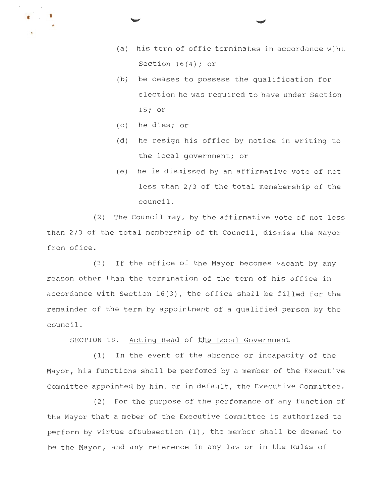- (a) his term of offie terminates in accordance wiht Section  $16(4)$ ; or
- (b) be ceases to possess the qualification for election he was required to have under Section 15; or
- (c) he dies; or

• '

- (d) he resign his office by notice in writing to the local government; or
- (e) he is dismissed by an affirmative vote of not less than 2/3 of the total memebership of the council.

(2) The Council may, by the affirmative vote of not less than 2/3 of the total membership of th Council, dismiss the Mayor from ofice.

(3) If the office of the Mayor becomes vacant by any reason other than the termination of the term of his office in accordance with Section 16(3), the office shall be filled for the remainder of the term by appointment of a qualified person by the council.

SECTION 18. Acting Head of the Local Government

(1) In the event of the absence or incapacity of the Mayor, his functions shall be perfomed by a member of the Executive Committee appointed by him, or in default, the Executive Committee.

(2) For the purpose of the perfomance of any function of the Mayor that a meber of the Executive Committee is authorized to perform by virtue ofSubsection (1), the member shall be deemed to be the Mayor, and any reference in any law or in the Rules of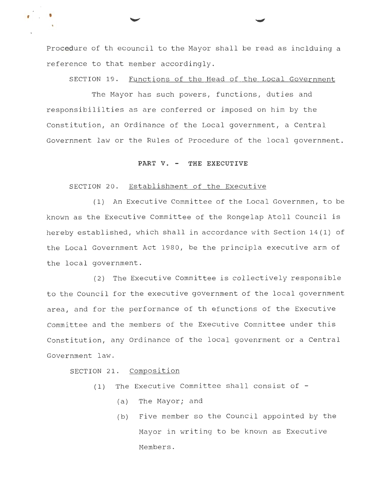Procedure of th ecouncil to the Mayor shall be read as inclduing a reference to that member accordingly.

SECTION 19. Functions of the Head of the Local Government

The Mayor has such powers, functions, duties and responsibililties as are conferred or imposed on him by the Constitution, an Ordinance of the Local government, a Central Government law or the Rules of Procedure of the local government.

#### **PART V. - THE EXECUTIVE**

#### SECTION 20. Establishment of the Executive

(1) An Executive Committee of the Local Governmen, to be known as the Executive Committee of the Rongelap Atoll Council is hereby established, which shall in accordance with Section 14(1) of the Local Government Act 1980, be the principla executive arm of the local government.

(2) The Executive Committee is collectively responsible to the Council for the executive government of the local government area, and for the performance of th efunctions of the Executive Committee and the members of the Executive Committee under this Constitution, any Ordinance of the local govenrment or a Central Government law.

SECTION 21. Composition

, •

- (1) The Executive Committee shall consist of
	- (a) The Mayor; and
	- (b) Five member so the Council appointed by the Mayor in writing to be known as Executive Members.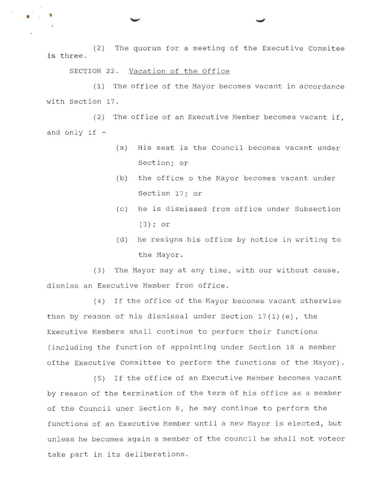(2) The quorum for a meeting of the Executive Commitee is three.

SECTION 22. Vacation of the Office

• •

(1) The office of the Mayor becomes vacant in accordance with Section 17.

(2) The office of an Executive Member becomes vacant if, and only if -

- (a) His seat is the Council becomes vacant under Section; or
- (b) the office o the Mayor becomes vacant under Section 17; or
- (c) he is dismissed from office under Subsection ( 3) ; or
- (d) he resigns his office by notice in writing to the Mayor.

(3) The Mayor may at any time, with our without cause, dismiss an Executive Member from office.

(4) If the office of the Mayor becomes vacant otherwise than by reason of his dismissal under Section 17(1) (e), the Executive Members shall continue to perform their functions (including the function of appointing under Section 18 a member ofthe Executive Committee to perform the functions of the Mayor).

(5) If the office of an Executive Member becomes vacant by reason of the termination of the term of his office as a member of the Council uner Section 8, he may continue to perform the functions of an Executive Member until a new Mayor is elected, but unless he becomes again a member of the council he shall not voteor take part in its deliberations.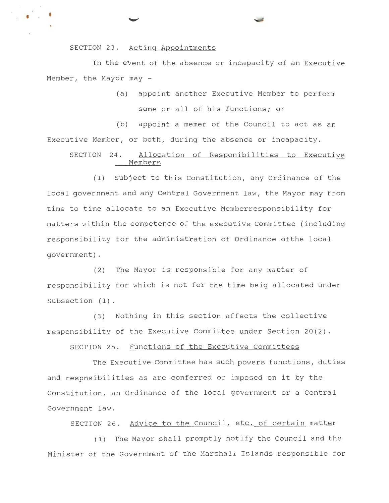SECTION 23. Acting Appointments

• •

In the event of the absence or incapacity of an Executive Member, the Mayor may -

> (a) appoint another Executive Member to perform some or all of his functions; or

(b) appoint a memer of the Council to act as an Executive Member, or both, during the absence or incapacity.

# SECTION 24. Allocation of Responibilities to Executive Members

(1) Subject to this Constitution, any Ordinance of the local government and any Central Government law, the Mayor may from time to time allocate to an Executive Memberresponsibility for matters within the competence of the executive Committee (including responsibility for the administration of Ordinance ofthe local government) .

 $(2)$  The Mayor is responsible for any matter of responsibility for wh ich is not for the time beig allocated under Subsection (1).

(3) Nothing in this section affects the collective responsibility of the Executive Committee under Section 20(2).

SECTION 25. Functions of the Executive Committees

The Executive Committee has such powers functions, duties and respnsibilities as are conferred or imposed on it by the Constitution, an Ordinance of the local government or a Central Government law.

SECTION 26. Advice to the Council, etc. of certain matter

(1) The Mayor shall promptly notify the Council and the Minister of the Government of the Marshall Islands responsible for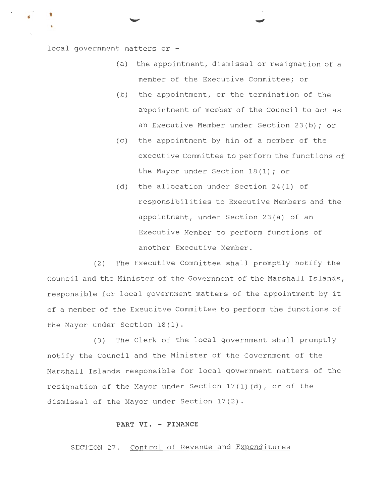local government matters or -

- (a) the appointment, dismissal or resignation of a member of the Executive Committee; or
- (b) the appointment, or the termination of the appointment of member of the Council to act as an Executive Member under Section 23(b); or
- (c) the appointment by him of a member of the executive Committee to perform the functions of the Mayor under Section 18(1); or
- (d) the allocation under Section 24(1) of responsibilities to Executive Members and the appointment, under Section 23(a) of an Executive Member to perform functions of another Executive Member.

(2) The Executive Committee shall promptly notify the Council and the Minister of the Government of the Marshall Islands, responsible for local government matters of the appointment by it of a member of the Exeucitve Committee to perform the functions of the Mayor under Section 18(1).

(3) The Clerk of the local government shall promptly notify the Council and the Minister of the Government of the Marshall Islands responsible for local government matters of the resignation of the Mayor under Section 17(1) (d), or of the dismissal of the Mayor under Section 17(2).

### **PART** VI. - **FINANCE**

SECTION 27. Control of Revenue and Expenditures

**t**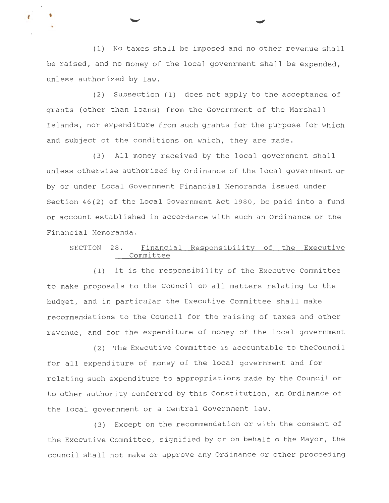(1) No taxes shall be imposed and no other revenue shall be raised, and no money of the local govenrment shall be expended, unless authorized by law.

*<sup>t</sup>*'

(2) Subsection (1) does not apply to the acceptance of grants (other than loans) from the Government of the Marshall Islands, nor expenditure from such grants for the purpose for which and subject ot the conditions on which, they are made .

(3) All money received by the local government shall unless otherwise authorized by Ordinance of the local government or by or under Local Government Financial Memoranda issued under Section 46(2) of the Local Government Act 1980, be paid into a fund or account established in accordance with such an Ordinance or the Financial Memoranda.

# SECTION 28. Financial Responsibility of the Executive Committee

(1) it is the responsibility of the Executve Committee to make proposals to the Council on all matters relating to the budget, and in particular the Executive Committee shall make recommendations to the Council for the raising of taxes and other revenue, and for the expenditure of money of the local government

(2) The Executive Committee is accountable to theCouncil for all expenditure of money of the local government and for relating such expenditure to appropriations made by the Council or to other authority conferred by this Constitution, an Ordinance of the local government or a Central Government law.

(3) Except on the recommendation or with the consent of the Executive Committee, signified by or on behalf o the Mayor, the council shall not make or approve any Ordinance or other proceeding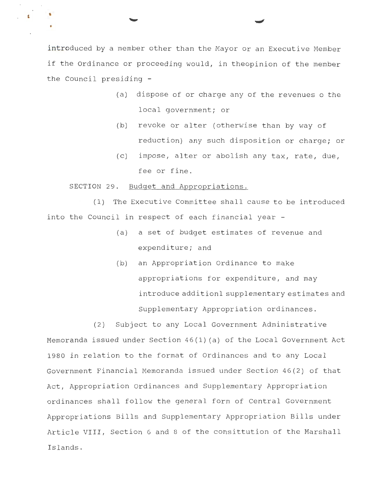introduced by a member other than the Mayor or an Executive Member if the Ordinance or proceeding would, in theopinion of the member the Council presiding -

- (a) dispose of or charge any of the revenues o the local government; or
- (b) revoke or alter (otherwise than by way of reduction) any such disposition or charge; or
- (c) impose, alter or abolish any tax, rate, due, fee or fine.

SECTION 29. Budget and Appropriations.

**9** 

(1) The Executive Committee shall cause to be introduced into the Council in respect of each financial year -

- (a) a set of budget estimates of revenue and expenditure; and
- (b) an Appropriation Ordinance to make appropriations for expenditure, and may introduce additionl supplementary estimates and Supplementary Appropriation ordinances.

(2) Subject to any Local Government Administrative Memoranda issued under Section 46(1) (a) of the Local Government Act 1980 in relation to the format of Ordinances and to any Local Government Financial Memoranda issued under Section 46(2) of that Act, Appropriation Ordinances and Supplementary Appropriation ordinances shall follow the general form of Central Government Appropriations Bills and Supplementary Appropriation Bills under Article VIII, Section 6 and 8 of the consittution of the Marshall Islands.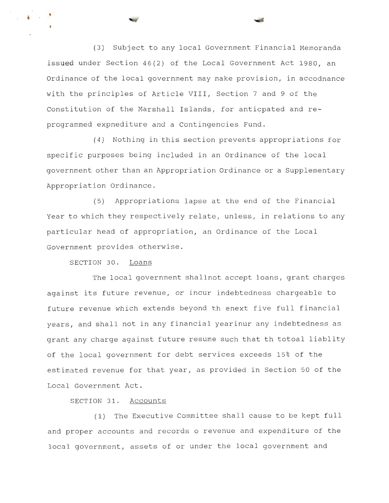(3) Subject to any local Government Financial Memoranda issued under Section 46(2) of the Local Government Act 1980, an Ordinance of the local government may make provision, in accodnance with the principles of Article VIII, Section 7 and 9 of the Constitution of the Marshall Islands, for anticpated and reprogrammed expnediture and a Contingencies Fund.

(4) Nothing in this section prevents appropriations for specific purposes being included in an Ordinance of the local government other than an Appropriation Ordinance or a Supplementary Appropriation Ordinance.

(5) Appropriations lapse at the end of the Financial Year to which they respectively relate, unless, in relations to any particular head of appropriation, an Ordinance of the Local Government provides otherwise .

SECTION 30. Loans

•

The local government shallnot accept loans, grant charges against its future revenue, or incur indebtedness chargeable to future revenue which extends beyond th enext five full financial years, and shall not in any financial yearinur any indebtedness as grant any charge against future resume such that th totoal liablity of the local government for debt services exceeds 15% of the estimated revenue for that year, as provided in Section 50 of the Local Government Act.

SECTION 31. Accounts

(1) The Executive Committee shall cause to be kept full and proper accounts and records o revenue and expenditure of the local government, assets of or under the local government and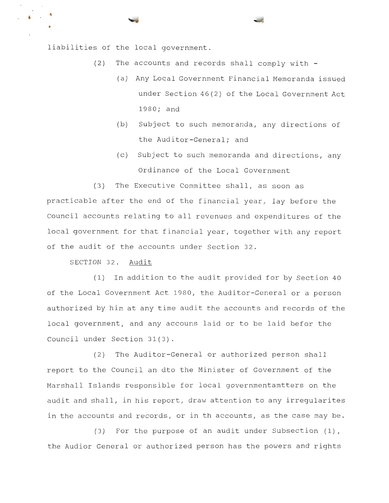liabilities of the local government.

'

- (2) The accounts and records shall comply with
	- (a) Any Local Government Financial Memoranda issued under Section 46(2) of the Local Government Act 1980; and
	- (b) Subject to such memoranda, any directions of the Auditor-General; and
	- (c) Subject to such memoranda and directions, any Ordinance of the Local Government

(3) The Executive Committee shall, as soon as practicable after the end of the financial year, lay before the Council accounts relating to all revenues and expenditures of the local government for that financial year, together with any report of the audit of the accounts under Section 32 .

SECTION 32. Audit

(1) In addition to the audit provided for by Section 40 of the Local Government Act 1980, the Auditor-General or a person authorized by him at any time audit the accounts and records of the local government, and any accouns laid or to be laid befor the Council under Section 31(3).

(2) The Auditor-General or authorized person shall report to the council an dto the Minister of Government of the Marshall Islands responsible for local governmentamtters on the audit and shall, in his report, draw attention to any irregularites in the accounts and records, or in th accounts, as the case may be.

(3) For the purpose of an audit under Subsection  $(1)$ , the Audior General or authorized person has the powers and rights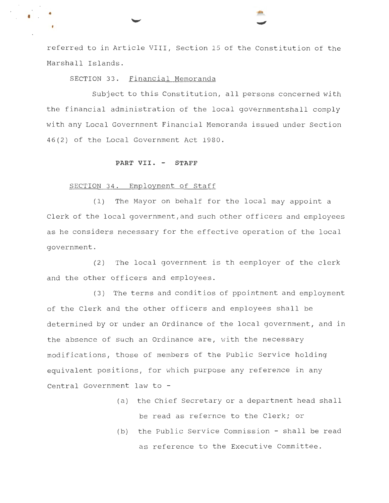referred to in Article VIII, Section 15 of the Constitution of the Marshall Islands.

# SECTION 33. Financial Memoranda

Subject to this Constitution, all persons concerned with the financial administration of the local governmentshall comply with any Local Government Financial Memoranda issued under Section 46(2) of the Local Government Act 1980.

#### **PART VII. - STAFF**

#### SECTION 34. Employment of Staff

(1) The Mayor on behalf for the local may appoint a Clerk of the local government,and such other officers and employees as he considers necessary for the effective operation of the local government.

(2) The local government is th eemployer of the clerk and the other officers and employees.

(3) The terms and conditios of ppointment and employment of the Clerk and the other officers and employees shall be determined by or under an Ordinance of the local government, and in the absence of such an Ordinance are, with the necessary modifications, those of members of the Public Service holding equivalent positions, for which purpose any reference in any Central Government law to -

- (a) the Chief Secretary or a department head shall be read as refernce to the Clerk; or
- (b) the Public Service Commission shall be read as reference to the Executive Committee.

• •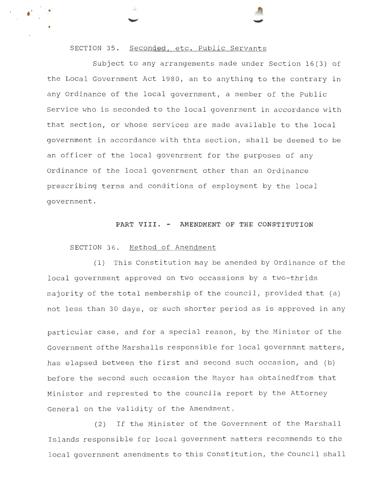#### SECTION 35. Seconded, etc. Public Servants

Subject to any arrangements made under Section 16(3) of the Local Government Act 1980, an to anything to the contrary in any Ordinance of the local government, a member of the Public Service who is seconded to the local govenrment in accordance with that section, or whose services are made available to the local government in accordance with thta section, shall be deemed to be an officer of the local govenrment for the purposes of any Ordinance of the local govenrment other than an Ordinance prescribing terms and conditions of employment by the local government.

### **PART VIII. - AMENDMENT OF THE CONSTITUTION**

#### SECTION 36. Method of Amendment

(1) This Constitution may be amended by Ordinance of the local government approved on two occassions by a two-thrids majority of the total membership of the council, provided that (a) not less than 30 days, or such shorter period as is approved in any

particular case, and for a special reason, by the Minister of the Government ofthe Marshalls responsible for local governmnt matters, has elapsed between the first and second such occasion, and (b) before the second such occasion the Mayor has obtainedfrom that Minister and represted to the councila report by the Attorney General on the validity of the Amendment.

(2) If the Minister of the Government of the Marshall Islands responsible for local government matters recommends to the local government amendments to this Constitution, the Council shall

•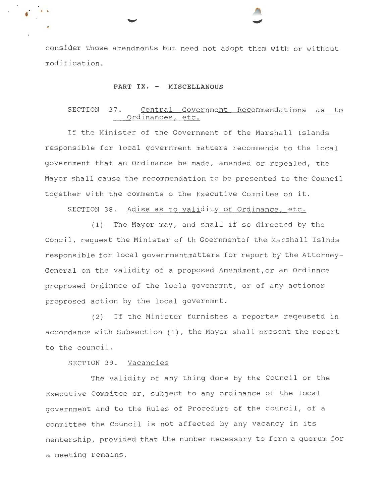consider those amendments but need not adopt them with or without modification.

#### **PART** IX. - **MISCELLANOUS**

•

# SECTION 37. Central Government Recommendations as to Ordinances, etc.

If the Minister of the Government of the Marshall Islands responsible for local government matters recommends to the local government that an Ordinance be made, amended or repealed, the Mayor shall cause the recommendation to be presented to the Council together with the comments o the Executive Commitee on it.

SECTION 38. Adise as to validity of Ordinance, etc.

(1) The Mayor may, and shall if so directed by the Concil, request the Minister of th Goernmentof the Marshall Islnds responsible for local govenrmentmatters for report by the Attorney-General on the validity of a proposed Amendment,or an Ordinnce proprosed Ordinnce of the locla govenrmnt, or of any actionor proprosed action by the local governmnt.

(2) If the Minister furnishes a reportas reqeusetd in accordance with Subsection (1), the Mayor shall present the report to the council.

SECTION 39. Vacancies

The validity of any thing done by the Council or the Executive Commitee or, subject to any ordinance of the local government and to the Rules of Procedure of the council, of a committee the Council is not affected by any vacancy in its membership, provided that the number necessary to form a quorum for a meeting remains.